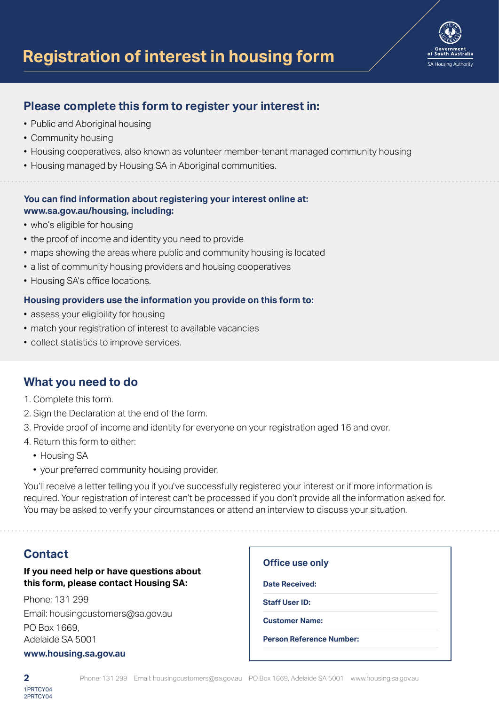

- Public and Aboriginal housing
- Community housing
- Housing cooperatives, also known as volunteer member-tenant managed community housing
- Housing managed by Housing SA in Aboriginal communities.

# **You can find information about registering your interest online at: www.sa.gov.au/housing, including:**

- who's eligible for housing
- the proof of income and identity you need to provide
- maps showing the areas where public and community housing is located
- a list of community housing providers and housing cooperatives
- Housing SA's office locations.

### **Housing providers use the information you provide on this form to:**

- assess your eligibility for housing
- match your registration of interest to available vacancies
- collect statistics to improve services.

# **What you need to do**

- 1. Complete this form.
- 2. Sign the Declaration at the end of the form.
- 3. Provide proof of income and identity for everyone on your registration aged 16 and over.
- 4. Return this form to either:
	- Housing SA
	- your preferred community housing provider.

You'll receive a letter telling you if you've successfully registered your interest or if more information is required. Your registration of interest can't be processed if you don't provide all the information asked for. You may be asked to verify your circumstances or attend an interview to discuss your situation.

# **Contact**

# **If you need help or have questions about this form, please contact Housing SA:**

Phone: 131 299 Email: housingcustomers@sa.gov.au PO Box 1669, Adelaide SA 5001

#### **www.housing.sa.gov.au**

| <b>Office use only</b> |                                 |  |
|------------------------|---------------------------------|--|
| <b>Date Received:</b>  |                                 |  |
| <b>Staff User ID:</b>  |                                 |  |
| <b>Customer Name:</b>  |                                 |  |
|                        | <b>Person Reference Number:</b> |  |

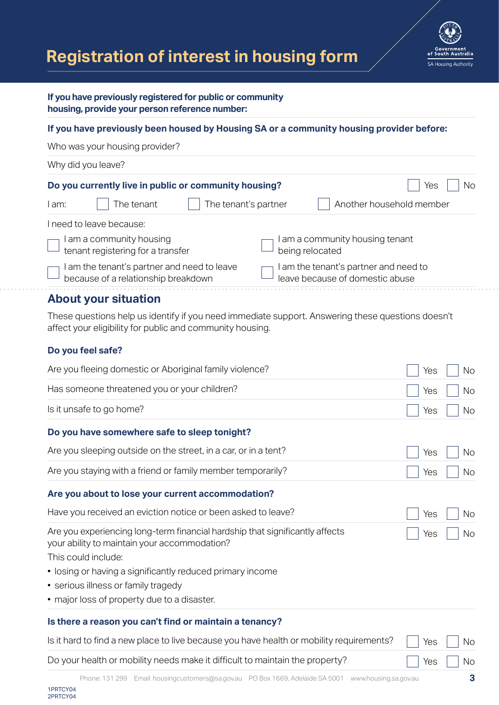



### **If you have previously registered for public or community housing, provide your person reference number:**

### **If you have previously been housed by Housing SA or a community housing provider before:**

Who was your housing provider?

| Why did you leave?                                                                 |                                                                          |  |  |  |
|------------------------------------------------------------------------------------|--------------------------------------------------------------------------|--|--|--|
| Do you currently live in public or community housing?                              | Νo<br>Yes                                                                |  |  |  |
| The tenant<br>l am:                                                                | Another household member<br>The tenant's partner                         |  |  |  |
| I need to leave because:                                                           |                                                                          |  |  |  |
| I am a community housing<br>tenant registering for a transfer                      | I am a community housing tenant<br>being relocated                       |  |  |  |
| I am the tenant's partner and need to leave<br>because of a relationship breakdown | I am the tenant's partner and need to<br>leave because of domestic abuse |  |  |  |
|                                                                                    |                                                                          |  |  |  |

# **About your situation**

These questions help us identify if you need immediate support. Answering these questions doesn't affect your eligibility for public and community housing.

# **Do you feel safe?**

| Are you fleeing domestic or Aboriginal family violence?                                                                                             | Yes | <b>No</b> |
|-----------------------------------------------------------------------------------------------------------------------------------------------------|-----|-----------|
| Has someone threatened you or your children?                                                                                                        | Yes | <b>No</b> |
| Is it unsafe to go home?                                                                                                                            | Yes | <b>No</b> |
| Do you have somewhere safe to sleep tonight?                                                                                                        |     |           |
| Are you sleeping outside on the street, in a car, or in a tent?                                                                                     | Yes | No        |
| Are you staying with a friend or family member temporarily?                                                                                         | Yes | <b>No</b> |
| Are you about to lose your current accommodation?                                                                                                   |     |           |
| Have you received an eviction notice or been asked to leave?                                                                                        | Yes | No        |
| Are you experiencing long-term financial hardship that significantly affects<br>your ability to maintain your accommodation?<br>This could include: | Yes | Nο        |
| • losing or having a significantly reduced primary income                                                                                           |     |           |
| • serious illness or family tragedy                                                                                                                 |     |           |
| • major loss of property due to a disaster.                                                                                                         |     |           |
| Is there a reason you can't find or maintain a tenancy?                                                                                             |     |           |
| Is it hard to find a new place to live because you have health or mobility requirements?                                                            | Yes | No.       |
| Do your health or mobility needs make it difficult to maintain the property?                                                                        | Yes | <b>No</b> |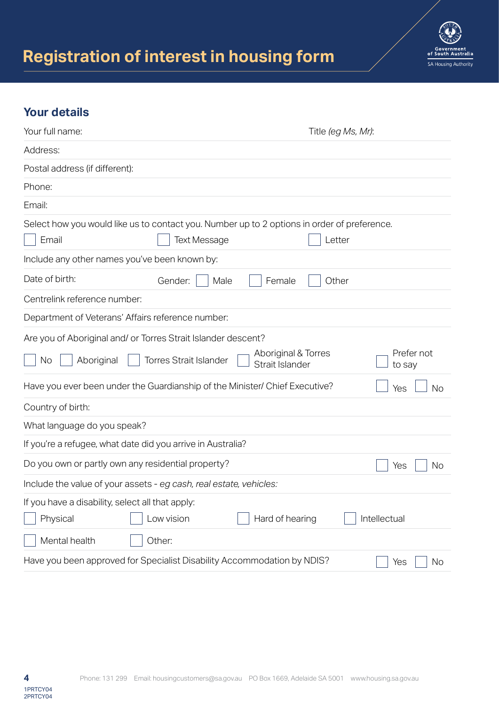

# **Your details**

| Your full name:                                                                                      |                               |                                        | Title (eg Ms, Mr): |                      |
|------------------------------------------------------------------------------------------------------|-------------------------------|----------------------------------------|--------------------|----------------------|
| Address:                                                                                             |                               |                                        |                    |                      |
| Postal address (if different):                                                                       |                               |                                        |                    |                      |
| Phone:                                                                                               |                               |                                        |                    |                      |
| Email:                                                                                               |                               |                                        |                    |                      |
| Select how you would like us to contact you. Number up to 2 options in order of preference.<br>Email | <b>Text Message</b>           |                                        | Letter             |                      |
| Include any other names you've been known by:                                                        |                               |                                        |                    |                      |
| Date of birth:                                                                                       | Gender:<br>Male               | Female                                 | Other              |                      |
| Centrelink reference number:                                                                         |                               |                                        |                    |                      |
| Department of Veterans' Affairs reference number:                                                    |                               |                                        |                    |                      |
| Are you of Aboriginal and/ or Torres Strait Islander descent?                                        |                               |                                        |                    |                      |
| Aboriginal<br>No                                                                                     | <b>Torres Strait Islander</b> | Aboriginal & Torres<br>Strait Islander |                    | Prefer not<br>to say |
| Have you ever been under the Guardianship of the Minister/ Chief Executive?                          |                               |                                        |                    | Yes<br><b>No</b>     |
| Country of birth:                                                                                    |                               |                                        |                    |                      |
| What language do you speak?                                                                          |                               |                                        |                    |                      |
| If you're a refugee, what date did you arrive in Australia?                                          |                               |                                        |                    |                      |
| Do you own or partly own any residential property?                                                   |                               |                                        |                    | Yes<br>No            |
| Include the value of your assets - eg cash, real estate, vehicles:                                   |                               |                                        |                    |                      |
| If you have a disability, select all that apply:<br>Physical                                         | Low vision                    | Hard of hearing                        |                    | Intellectual         |
| Mental health                                                                                        | Other:                        |                                        |                    |                      |
| Have you been approved for Specialist Disability Accommodation by NDIS?                              |                               |                                        |                    | No<br>Yes            |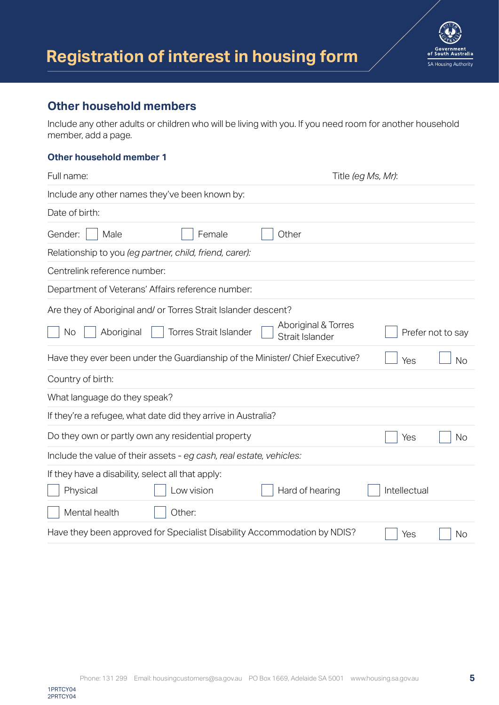



# **Other household members**

Include any other adults or children who will be living with you. If you need room for another household member, add a page.

### **Other household member 1**

| Full name:                                                                                                          |                                        | Title (eg Ms, Mr): |                   |
|---------------------------------------------------------------------------------------------------------------------|----------------------------------------|--------------------|-------------------|
| Include any other names they've been known by:                                                                      |                                        |                    |                   |
| Date of birth:                                                                                                      |                                        |                    |                   |
| Male<br>Gender:<br>Female                                                                                           | Other                                  |                    |                   |
| Relationship to you (eg partner, child, friend, carer):                                                             |                                        |                    |                   |
| Centrelink reference number:                                                                                        |                                        |                    |                   |
| Department of Veterans' Affairs reference number:                                                                   |                                        |                    |                   |
| Are they of Aboriginal and/ or Torres Strait Islander descent?<br><b>Torres Strait Islander</b><br>Aboriginal<br>No | Aboriginal & Torres<br>Strait Islander |                    | Prefer not to say |
| Have they ever been under the Guardianship of the Minister/ Chief Executive?                                        |                                        | Yes                | <b>No</b>         |
| Country of birth:                                                                                                   |                                        |                    |                   |
| What language do they speak?                                                                                        |                                        |                    |                   |
| If they're a refugee, what date did they arrive in Australia?                                                       |                                        |                    |                   |
| Do they own or partly own any residential property                                                                  |                                        | Yes                | No                |
| Include the value of their assets - eg cash, real estate, vehicles:                                                 |                                        |                    |                   |
| If they have a disability, select all that apply:<br>Low vision<br>Physical                                         | Hard of hearing                        | Intellectual       |                   |
| Mental health<br>Other:                                                                                             |                                        |                    |                   |
| Have they been approved for Specialist Disability Accommodation by NDIS?                                            |                                        | Yes                | <b>No</b>         |

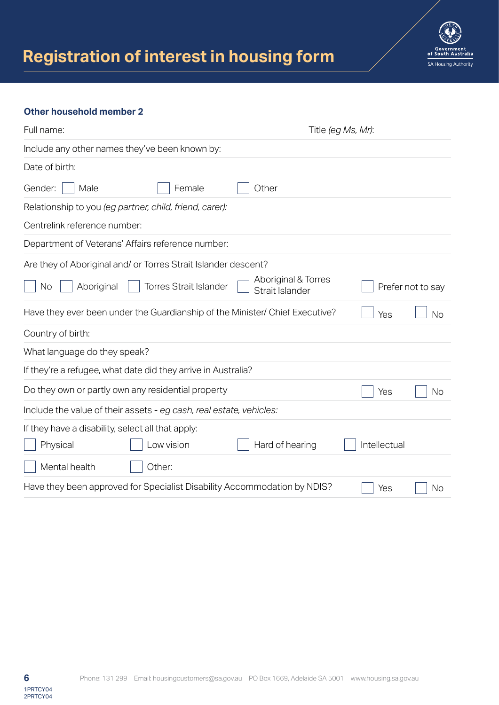

### **Other household member 2**

| Full name:                                                                   | Title (eg Ms, Mr):                                          |           |
|------------------------------------------------------------------------------|-------------------------------------------------------------|-----------|
| Include any other names they've been known by:                               |                                                             |           |
| Date of birth:                                                               |                                                             |           |
| Gender:<br>Male<br>Female                                                    | Other                                                       |           |
| Relationship to you (eg partner, child, friend, carer):                      |                                                             |           |
| Centrelink reference number:                                                 |                                                             |           |
| Department of Veterans' Affairs reference number:                            |                                                             |           |
| Are they of Aboriginal and/ or Torres Strait Islander descent?               |                                                             |           |
| <b>Torres Strait Islander</b><br>Aboriginal<br>No                            | Aboriginal & Torres<br>Prefer not to say<br>Strait Islander |           |
| Have they ever been under the Guardianship of the Minister/ Chief Executive? | Yes                                                         | <b>No</b> |
| Country of birth:                                                            |                                                             |           |
| What language do they speak?                                                 |                                                             |           |
| If they're a refugee, what date did they arrive in Australia?                |                                                             |           |
| Do they own or partly own any residential property                           | Yes                                                         | <b>No</b> |
| Include the value of their assets - eg cash, real estate, vehicles:          |                                                             |           |
| If they have a disability, select all that apply:                            |                                                             |           |
| Low vision<br>Physical                                                       | Hard of hearing<br>Intellectual                             |           |
| Mental health<br>Other:                                                      |                                                             |           |
| Have they been approved for Specialist Disability Accommodation by NDIS?     | Yes                                                         | No        |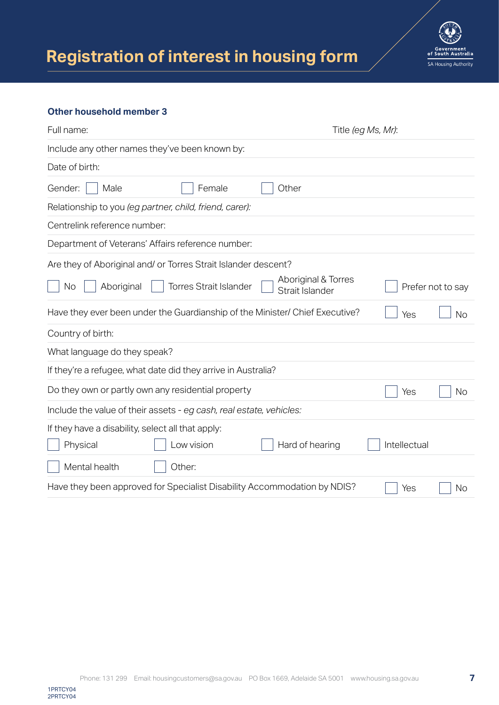

#### **Other household member 3**

1PRTCY04 2PRTCY04

| Full name:                                        |                                                                              |                                        | Title (eg Ms, Mr): |                   |
|---------------------------------------------------|------------------------------------------------------------------------------|----------------------------------------|--------------------|-------------------|
|                                                   | Include any other names they've been known by:                               |                                        |                    |                   |
| Date of birth:                                    |                                                                              |                                        |                    |                   |
| Gender:<br>Male                                   | Female                                                                       | Other                                  |                    |                   |
|                                                   | Relationship to you (eg partner, child, friend, carer):                      |                                        |                    |                   |
| Centrelink reference number:                      |                                                                              |                                        |                    |                   |
|                                                   | Department of Veterans' Affairs reference number:                            |                                        |                    |                   |
|                                                   | Are they of Aboriginal and/ or Torres Strait Islander descent?               |                                        |                    |                   |
| Aboriginal<br>No                                  | <b>Torres Strait Islander</b>                                                | Aboriginal & Torres<br>Strait Islander |                    | Prefer not to say |
|                                                   | Have they ever been under the Guardianship of the Minister/ Chief Executive? |                                        | Yes                | <b>No</b>         |
| Country of birth:                                 |                                                                              |                                        |                    |                   |
| What language do they speak?                      |                                                                              |                                        |                    |                   |
|                                                   | If they're a refugee, what date did they arrive in Australia?                |                                        |                    |                   |
|                                                   | Do they own or partly own any residential property                           |                                        | Yes                | No                |
|                                                   | Include the value of their assets - eg cash, real estate, vehicles:          |                                        |                    |                   |
| If they have a disability, select all that apply: |                                                                              |                                        |                    |                   |
| Physical                                          | Low vision                                                                   | Hard of hearing                        | Intellectual       |                   |
| Mental health                                     | Other:                                                                       |                                        |                    |                   |
|                                                   | Have they been approved for Specialist Disability Accommodation by NDIS?     |                                        | Yes                | No                |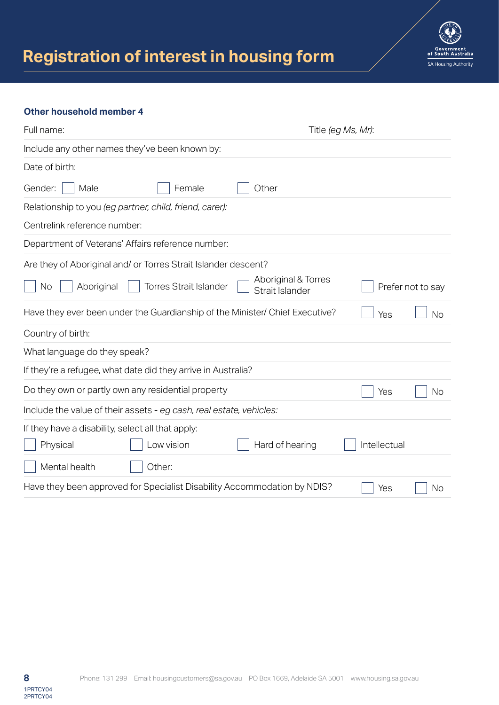

### **Other household member 4**

| Full name:                                                                   |                                        | Title (eg Ms, Mr): |           |
|------------------------------------------------------------------------------|----------------------------------------|--------------------|-----------|
| Include any other names they've been known by:                               |                                        |                    |           |
| Date of birth:                                                               |                                        |                    |           |
| Gender:<br>Male<br>Female                                                    | Other                                  |                    |           |
| Relationship to you (eg partner, child, friend, carer):                      |                                        |                    |           |
| Centrelink reference number:                                                 |                                        |                    |           |
| Department of Veterans' Affairs reference number:                            |                                        |                    |           |
| Are they of Aboriginal and/ or Torres Strait Islander descent?               |                                        |                    |           |
| <b>Torres Strait Islander</b><br>Aboriginal<br>No                            | Aboriginal & Torres<br>Strait Islander | Prefer not to say  |           |
| Have they ever been under the Guardianship of the Minister/ Chief Executive? |                                        | Yes                | <b>No</b> |
| Country of birth:                                                            |                                        |                    |           |
| What language do they speak?                                                 |                                        |                    |           |
| If they're a refugee, what date did they arrive in Australia?                |                                        |                    |           |
| Do they own or partly own any residential property                           |                                        | Yes                | No        |
| Include the value of their assets - eg cash, real estate, vehicles:          |                                        |                    |           |
| If they have a disability, select all that apply:                            |                                        |                    |           |
| Low vision<br>Physical                                                       | Hard of hearing                        | Intellectual       |           |
| Mental health<br>Other:                                                      |                                        |                    |           |
| Have they been approved for Specialist Disability Accommodation by NDIS?     |                                        | Yes                | No        |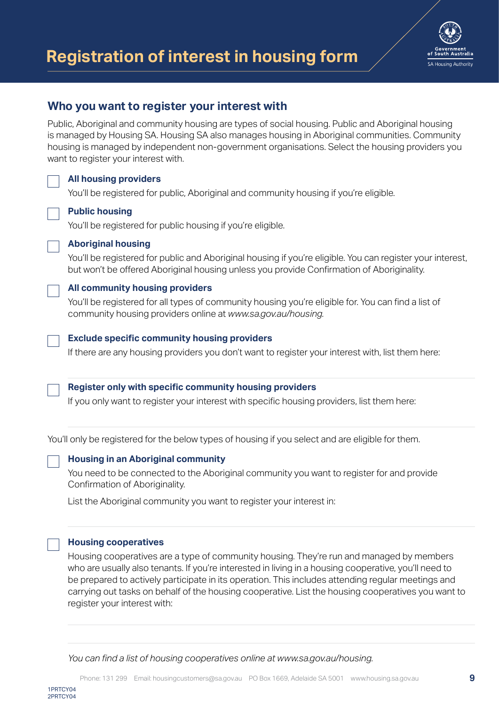

# **Who you want to register your interest with**

Public, Aboriginal and community housing are types of social housing. Public and Aboriginal housing is managed by Housing SA. Housing SA also manages housing in Aboriginal communities. Community housing is managed by independent non-government organisations. Select the housing providers you want to register your interest with.

## **All housing providers**

You'll be registered for public, Aboriginal and community housing if you're eligible.

### **Public housing**

You'll be registered for public housing if you're eligible.



You'll be registered for public and Aboriginal housing if you're eligible. You can register your interest, but won't be offered Aboriginal housing unless you provide Confirmation of Aboriginality.

# **All community housing providers**

You'll be registered for all types of community housing you're eligible for. You can find a list of community housing providers online at *www.sa.gov.au/housing.*

#### **Exclude specific community housing providers**

If there are any housing providers you don't want to register your interest with, list them here:

#### **Register only with specific community housing providers**

If you only want to register your interest with specific housing providers, list them here:

You'll only be registered for the below types of housing if you select and are eligible for them.

#### **Housing in an Aboriginal community**

You need to be connected to the Aboriginal community you want to register for and provide Confirmation of Aboriginality.

List the Aboriginal community you want to register your interest in:

#### **Housing cooperatives**

Housing cooperatives are a type of community housing. They're run and managed by members who are usually also tenants. If you're interested in living in a housing cooperative, you'll need to be prepared to actively participate in its operation. This includes attending regular meetings and carrying out tasks on behalf of the housing cooperative. List the housing cooperatives you want to register your interest with:

*You can find a list of housing cooperatives online at www.sa.gov.au/housing.*

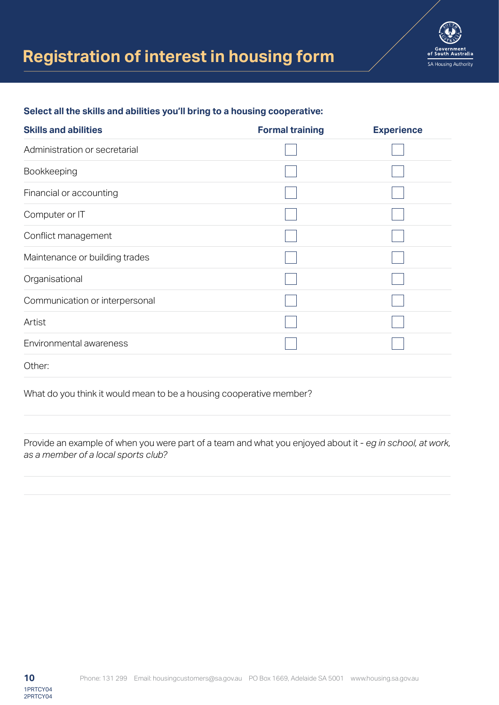

### **Select all the skills and abilities you'll bring to a housing cooperative:**

| <b>Skills and abilities</b>    | <b>Formal training</b> | <b>Experience</b> |
|--------------------------------|------------------------|-------------------|
| Administration or secretarial  |                        |                   |
| Bookkeeping                    |                        |                   |
| Financial or accounting        |                        |                   |
| Computer or IT                 |                        |                   |
| Conflict management            |                        |                   |
| Maintenance or building trades |                        |                   |
| Organisational                 |                        |                   |
| Communication or interpersonal |                        |                   |
| Artist                         |                        |                   |
| Environmental awareness        |                        |                   |
| Other:                         |                        |                   |

What do you think it would mean to be a housing cooperative member?

Provide an example of when you were part of a team and what you enjoyed about it - *eg in school, at work, as a member of a local sports club?*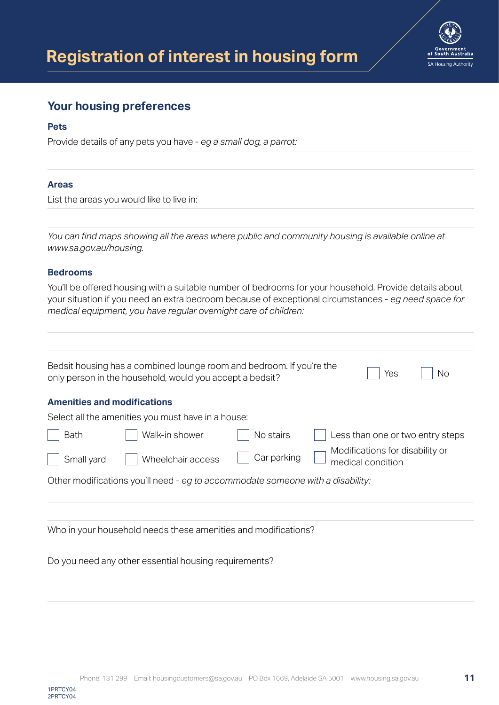

# **Your housing preferences**

### **Pets**

Provide details of any pets you have - *eg a small dog, a parrot:*

### **Areas**

List the areas you would like to live in:

*You can find maps showing all the areas where public and community housing is available online at www.sa.gov.au/housing.*

### **Bedrooms**

You'll be offered housing with a suitable number of bedrooms for your household. Provide details about your situation if you need an extra bedroom because of exceptional circumstances - *eg need space for medical equipment, you have regular overnight care of children:*

|                                    | Bedsit housing has a combined lounge room and bedroom. If you're the<br>only person in the household, would you accept a bedsit? |             | Yes<br>No                                            |
|------------------------------------|----------------------------------------------------------------------------------------------------------------------------------|-------------|------------------------------------------------------|
| <b>Amenities and modifications</b> |                                                                                                                                  |             |                                                      |
|                                    | Select all the amenities you must have in a house:                                                                               |             |                                                      |
| <b>Bath</b>                        | Walk-in shower                                                                                                                   | No stairs   | Less than one or two entry steps                     |
| Small yard                         | Wheelchair access                                                                                                                | Car parking | Modifications for disability or<br>medical condition |
|                                    | Other modifications you'll need - eg to accommodate someone with a disability:                                                   |             |                                                      |
|                                    |                                                                                                                                  |             |                                                      |

Do you need any other essential housing requirements?

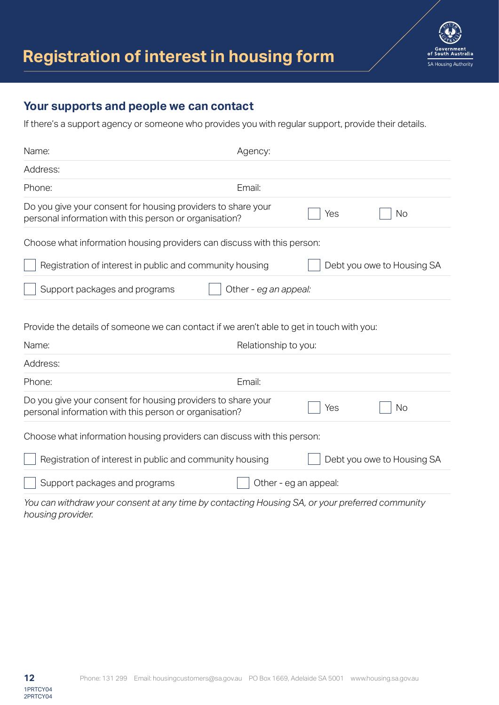

# **Your supports and people we can contact**

If there's a support agency or someone who provides you with regular support, provide their details.

| Name:                                                                                                                                                                                                                              | Agency:               |                                                                                                     |                            |
|------------------------------------------------------------------------------------------------------------------------------------------------------------------------------------------------------------------------------------|-----------------------|-----------------------------------------------------------------------------------------------------|----------------------------|
| Address:                                                                                                                                                                                                                           |                       |                                                                                                     |                            |
| Phone:                                                                                                                                                                                                                             | Email:                |                                                                                                     |                            |
| Do you give your consent for housing providers to share your<br>personal information with this person or organisation?                                                                                                             |                       | Yes                                                                                                 | <b>No</b>                  |
| Choose what information housing providers can discuss with this person:                                                                                                                                                            |                       |                                                                                                     |                            |
| Registration of interest in public and community housing                                                                                                                                                                           |                       |                                                                                                     | Debt you owe to Housing SA |
| Support packages and programs                                                                                                                                                                                                      | Other - eg an appeal: |                                                                                                     |                            |
| Provide the details of someone we can contact if we aren't able to get in touch with you:<br>Name:<br>Address:                                                                                                                     | Relationship to you:  |                                                                                                     |                            |
| Phone:                                                                                                                                                                                                                             | Email:                |                                                                                                     |                            |
| Do you give your consent for housing providers to share your<br>personal information with this person or organisation?                                                                                                             |                       | Yes                                                                                                 | <b>No</b>                  |
| Choose what information housing providers can discuss with this person:                                                                                                                                                            |                       |                                                                                                     |                            |
| Registration of interest in public and community housing                                                                                                                                                                           |                       |                                                                                                     | Debt you owe to Housing SA |
| Support packages and programs                                                                                                                                                                                                      | Other - eg an appeal: |                                                                                                     |                            |
| $\mathcal{L}$ . The state of the state of the state of the state of the state of the state of the state of the state of the state of the state of the state of the state of the state of the state of the state of the state of th |                       | $\sim$ 11. $\sim$ 1. $\sim$ 0.4. $\sim$ 1. $\sim$ 1. $\sim$ 1. $\sim$ 1. $\sim$ 1. $\sim$ 1. $\sim$ |                            |

*You can withdraw your consent at any time by contacting Housing SA, or your preferred community housing provider.*